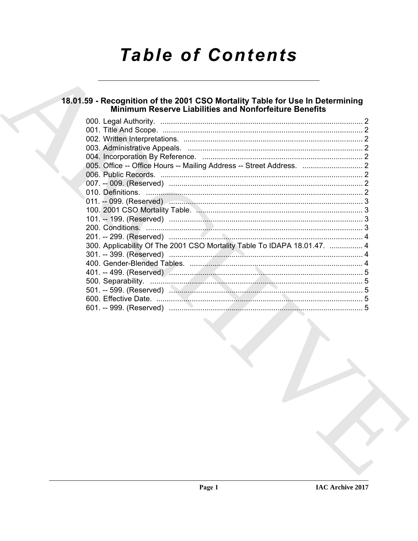# **Table of Contents**

# 18.01.59 - Recognition of the 2001 CSO Mortality Table for Use In Determining<br>Minimum Reserve Liabilities and Nonforfeiture Benefits

| 300. Applicability Of The 2001 CSO Mortality Table To IDAPA 18.01.47.  4 |  |
|--------------------------------------------------------------------------|--|
|                                                                          |  |
|                                                                          |  |
|                                                                          |  |
|                                                                          |  |
|                                                                          |  |
|                                                                          |  |
|                                                                          |  |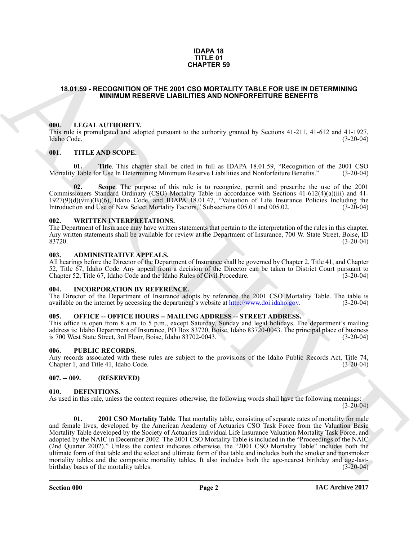# **IDAPA 18 TITLE 01 CHAPTER 59**

# <span id="page-1-0"></span>**18.01.59 - RECOGNITION OF THE 2001 CSO MORTALITY TABLE FOR USE IN DETERMINING MINIMUM RESERVE LIABILITIES AND NONFORFEITURE BENEFITS**

#### <span id="page-1-1"></span>**000. LEGAL AUTHORITY.**

This rule is promulgated and adopted pursuant to the authority granted by Sections 41-211, 41-612 and 41-1927, Idaho Code. (3-20-04)

# <span id="page-1-2"></span>**001. TITLE AND SCOPE.**

**01. Title**. This chapter shall be cited in full as IDAPA 18.01.59, "Recognition of the 2001 CSO v Table for Use In Determining Minimum Reserve Liabilities and Nonforfeiture Benefits." (3-20-04) Mortality Table for Use In Determining Minimum Reserve Liabilities and Nonforfeiture Benefits."

**02. Scope**. The purpose of this rule is to recognize, permit and prescribe the use of the 2001 Commissioners Standard Ordinary (CSO) Mortality Table in accordance with Sections 41-612(4)(a)(iii) and 41- 1927(9)(d)(viii)(B)(6), Idaho Code, and IDAPA 18.01.47, "Valuation of Life Insurance Policies Including the Introduction and Use of New Select Mortality Factors," Subsections 005.01 and 005.02. (3-20-04)

#### <span id="page-1-3"></span>**002. WRITTEN INTERPRETATIONS.**

The Department of Insurance may have written statements that pertain to the interpretation of the rules in this chapter. Any written statements shall be available for review at the Department of Insurance, 700 W. State Street, Boise, ID<br>(3-20-04) 83720. (3-20-04)

#### <span id="page-1-4"></span>**003. ADMINISTRATIVE APPEALS.**

All hearings before the Director of the Department of Insurance shall be governed by Chapter 2, Title 41, and Chapter 52, Title 67, Idaho Code. Any appeal from a decision of the Director can be taken to District Court pursuant to Chapter 52. Title 67, Idaho Code and the Idaho Rules of Civil Procedure. (3-20-04) Chapter 52, Title 67, Idaho Code and the Idaho Rules of Civil Procedure.

# <span id="page-1-5"></span>**004. INCORPORATION BY REFERENCE.**

The Director of the Department of Insurance adopts by reference the 2001 CSO Mortality Table. The table is available on the internet by accessing the department's website at http://www.doi.idaho.gov. (3-20-04) available on the internet by accessing the department's website at http://www.doi.idaho.gov.

# <span id="page-1-6"></span>**005. OFFICE -- OFFICE HOURS -- MAILING ADDRESS -- STREET ADDRESS.**

This office is open from 8 a.m. to 5 p.m., except Saturday, Sunday and legal holidays. The department's mailing address is: Idaho Department of Insurance, PO Box 83720, Boise, Idaho 83720-0043. The principal place of business is 700 West State Street, 3rd Floor, Boise, Idaho 83702-0043. (3-20-04) is 700 West State Street, 3rd Floor, Boise, Idaho 83702-0043.

#### <span id="page-1-7"></span>**006. PUBLIC RECORDS.**

Any records associated with these rules are subject to the provisions of the Idaho Public Records Act, Title 74, Chapter 1, and Title 41, Idaho Code. (3-20-04) Chapter 1, and Title 41, Idaho Code.

# <span id="page-1-8"></span>**007. -- 009. (RESERVED)**

#### <span id="page-1-10"></span><span id="page-1-9"></span>**010. DEFINITIONS.**

<span id="page-1-11"></span>As used in this rule, unless the context requires otherwise, the following words shall have the following meanings:

 $(3-20-04)$ 

**CHAPTER 59**<br> **CHAPTER 59**<br> **CHAPTER 59**<br> **CHAPTER COOR COMPARY AND CONFORTED DE EVONT CONFORTED SAND MONETARY THREE FOR USE THE SAND MONETARY AND ANNOUNCE THE SAND MONETARY AND THE SAND MONETARY (1997).<br>
HERE ARE IN CONF 01. 2001 CSO Mortality Table**. That mortality table, consisting of separate rates of mortality for male and female lives, developed by the American Academy of Actuaries CSO Task Force from the Valuation Basic Mortality Table developed by the Society of Actuaries Individual Life Insurance Valuation Mortality Task Force, and adopted by the NAIC in December 2002. The 2001 CSO Mortality Table is included in the "Proceedings of the NAIC (2nd Quarter 2002)." Unless the context indicates otherwise, the "2001 CSO Mortality Table" includes both the ultimate form of that table and the select and ultimate form of that table and includes both the smoker and nonsmoker mortality tables and the composite mortality tables. It also includes both the age-nearest birthday and age-last-<br>birthday bases of the mortality tables. (3-20-04) birthday bases of the mortality tables.

**Section 000 Page 2**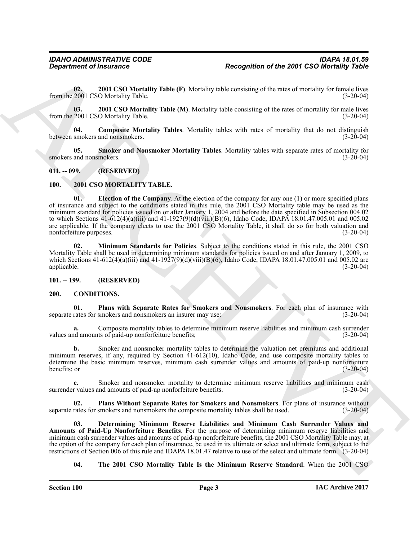<span id="page-2-14"></span>**02. 2001 CSO Mortality Table (F)**. Mortality table consisting of the rates of mortality for female lives 2001 CSO Mortality Table. (3-20-04) from the 2001 CSO Mortality Table.

<span id="page-2-9"></span>**03. 2001 CSO Mortality Table (M)**. Mortality table consisting of the rates of mortality for male lives 2001 CSO Mortality Table. (3-20-04) from the 2001 CSO Mortality Table.

<span id="page-2-13"></span>**04.** Composite Mortality Tables. Mortality tables with rates of mortality that do not distinguish smokers and nonsmokers. (3-20-04) between smokers and nonsmokers.

<span id="page-2-15"></span>**05. Smoker and Nonsmoker Mortality Tables**. Mortality tables with separate rates of mortality for and nonsmokers. (3-20-04) smokers and nonsmokers.

# <span id="page-2-0"></span>**011. -- 099. (RESERVED)**

# <span id="page-2-11"></span><span id="page-2-10"></span><span id="page-2-1"></span>**100. 2001 CSO MORTALITY TABLE.**

**Because of Francoise Controller The Controller Metallite Research of the 2007 CSD Metallity Table<br>
Francisco 2001 CSO Metallity Table (f). Mattalay dalse consisting of the attention of controller in Eq. (i) and the Contr 01. Election of the Company**. At the election of the company for any one (1) or more specified plans of insurance and subject to the conditions stated in this rule, the 2001 CSO Mortality table may be used as the minimum standard for policies issued on or after January 1, 2004 and before the date specified in Subsection 004.02 to which Sections 41-612(4)(a)(iii) and 41-1927(9)(d)(viii)(B)(6), Idaho Code, IDAPA 18.01.47.005.01 and 005.02 are applicable. If the company elects to use the  $2001 \text{ CSO}$  Mortality Table, it shall do so for both valuation and nonforfeiture purposes. (3-20-04) nonforfeiture purposes.

<span id="page-2-12"></span>**02. Minimum Standards for Policies**. Subject to the conditions stated in this rule, the 2001 CSO Mortality Table shall be used in determining minimum standards for policies issued on and after January 1, 2009, to which Sections 41-612(4)(a)(iii) and 41-1927(9)(d)(viii)(B)(6), Idaho Code, IDAPA 18.01.47.005.01 and 005.02 are applicable. (3-20-04) applicable. (3-20-04)

# <span id="page-2-4"></span><span id="page-2-2"></span>**101. -- 199. (RESERVED)**

# <span id="page-2-3"></span>**200. CONDITIONS.**

<span id="page-2-7"></span>**01.** Plans with Separate Rates for Smokers and Nonsmokers. For each plan of insurance with rates for smokers and nonsmokers an insurer may use: (3-20-04) separate rates for smokers and nonsmokers an insurer may use:

Composite mortality tables to determine minimum reserve liabilities and minimum cash surrender ts of paid-up nonforfeiture benefits;<br>(3-20-04) values and amounts of paid-up nonforfeiture benefits;

**b.** Smoker and nonsmoker mortality tables to determine the valuation net premiums and additional minimum reserves, if any, required by Section 41-612(10), Idaho Code, and use composite mortality tables to determine the basic minimum reserves, minimum cash surrender values and amounts of paid-up nonforfeiture benefits; or  $(3-20-04)$ 

**c.** Smoker and nonsmoker mortality to determine minimum reserve liabilities and minimum cash r values and amounts of paid-up nonforfeiture benefits. (3-20-04) surrender values and amounts of paid-up nonforfeiture benefits.

<span id="page-2-8"></span>**Plans Without Separate Rates for Smokers and Nonsmokers**. For plans of insurance without smokers and nonsmokers the composite mortality tables shall be used. (3-20-04) separate rates for smokers and nonsmokers the composite mortality tables shall be used.

<span id="page-2-6"></span>**03. Determining Minimum Reserve Liabilities and Minimum Cash Surrender Values and Amounts of Paid-Up Nonforfeiture Benefits**. For the purpose of determining minimum reserve liabilities and minimum cash surrender values and amounts of paid-up nonforfeiture benefits, the 2001 CSO Mortality Table may, at the option of the company for each plan of insurance, be used in its ultimate or select and ultimate form, subject to the restrictions of Section 006 of this rule and IDAPA 18.01.47 relative to use of the select and ultimate form. (3-20-04)

<span id="page-2-5"></span>**04. The 2001 CSO Mortality Table Is the Minimum Reserve Standard**. When the 2001 CSO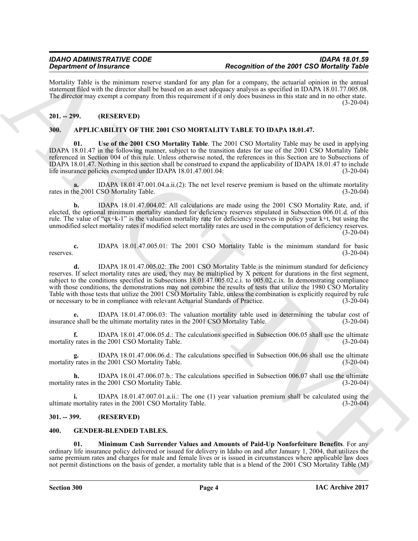Mortality Table is the minimum reserve standard for any plan for a company, the actuarial opinion in the annual statement filed with the director shall be based on an asset adequacy analysis as specified in IDAPA 18.01.77.005.08. The director may exempt a company from this requirement if it only does business in this state and in no other state.  $(3-20-04)$ 

# <span id="page-3-0"></span>**201. -- 299. (RESERVED)**

# <span id="page-3-4"></span><span id="page-3-1"></span>**300. APPLICABILITY OF THE 2001 CSO MORTALITY TABLE TO IDAPA 18.01.47.**

<span id="page-3-5"></span>**01. Use of the 2001 CSO Mortality Table**. The 2001 CSO Mortality Table may be used in applying IDAPA 18.01.47 in the following manner, subject to the transition dates for use of the 2001 CSO Mortality Table referenced in Section 004 of this rule. Unless otherwise noted, the references in this Section are to Subsections of IDAPA 18.01.47. Nothing in this section shall be construed to expand the applicability of IDAPA 18.01.47 to include life insurance policies exempted under IDAPA 18.01.47.001.04:

**a.** IDAPA 18.01.47.001.04.a.ii.(2): The net level reserve premium is based on the ultimate mortality he 2001 CSO Mortality Table. (3-20-04) rates in the 2001 CSO Mortality Table.

**b.** IDAPA 18.01.47.004.02: All calculations are made using the 2001 CSO Mortality Rate, and, if elected, the optional minimum mortality standard for deficiency reserves stipulated in Subsection 006.01.d. of this rule. The value of "qx+k-1" is the valuation mortality rate for deficiency reserves in policy year k+t, but using the unmodified select mortality rates if modified select mortality rates are used in the computation of deficiency reserves. (3-20-04)

**c.** IDAPA 18.01.47.005.01: The 2001 CSO Mortality Table is the minimum standard for basic reserves. (3-20-04)

Beat the measure of the measure control of the measure of the 2001 CM of the 200 CM of the 200 CM of the 200 CM of the 200 CM of the 200 CM of the 200 CM of the 200 CM of the 200 CM of the 200 CM of the 200 CM of the 200 **d.** IDAPA 18.01.47.005.02: The 2001 CSO Mortality Table is the minimum standard for deficiency reserves. If select mortality rates are used, they may be multiplied by X percent for durations in the first segment, subject to the conditions specified in Subsections 18.01.47.005.02.c.i. to 005.02.c.ix. In demonstrating compliance with those conditions, the demonstrations may not combine the results of tests that utilize the 1980 CSO Mortality Table with those tests that utilize the 2001 CSO Mortality Table, unless the combination is explicitly required by rule or necessary to be in compliance with relevant Actuarial Standards of Practice. (3-20-04) or necessary to be in compliance with relevant Actuarial Standards of Practice.

**e.** IDAPA 18.01.47.006.03: The valuation mortality table used in determining the tabular cost of insurance shall be the ultimate mortality rates in the 2001 CSO Mortality Table. (3-20-04)

**f.** IDAPA 18.01.47.006.05.d.: The calculations specified in Subsection 006.05 shall use the ultimate mortality rates in the 2001 CSO Mortality Table. (3-20-04)

**g.** IDAPA 18.01.47.006.06.d.: The calculations specified in Subsection 006.06 shall use the ultimate mortality rates in the 2001 CSO Mortality Table. (3-20-04)

**h.** IDAPA 18.01.47.006.07.b.: The calculations specified in Subsection 006.07 shall use the ultimate rates in the 2001 CSO Mortality Table. (3-20-04) mortality rates in the 2001 CSO Mortality Table.

**i.** IDAPA 18.01.47.007.01.a.ii.: The one (1) year valuation premium shall be calculated using the ultimate mortality rates in the 2001 CSO Mortality Table. (3-20-04)

# <span id="page-3-2"></span>**301. -- 399. (RESERVED)**

# <span id="page-3-6"></span><span id="page-3-3"></span>**400. GENDER-BLENDED TABLES.**

<span id="page-3-7"></span>**01. Minimum Cash Surrender Values and Amounts of Paid-Up Nonforfeiture Benefits**. For any ordinary life insurance policy delivered or issued for delivery in Idaho on and after January 1, 2004, that utilizes the same premium rates and charges for male and female lives or is issued in circumstances where applicable law does not permit distinctions on the basis of gender, a mortality table that is a blend of the 2001 CSO Mortality Table (M)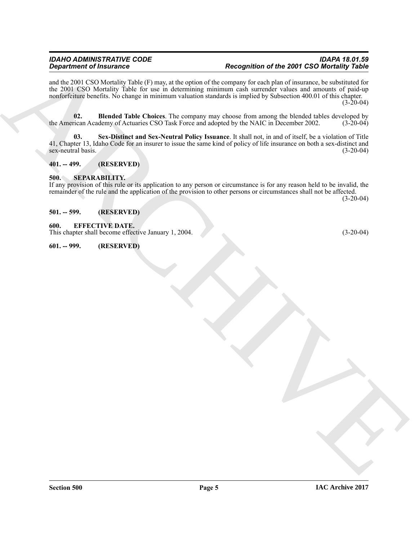# *IDAHO ADMINISTRATIVE CODE IDAPA 18.01.59 Department of Insurance Recognition of the 2001 CSO Mortality Table*

**Dependent of Financial Construction and subscription of the 2001 Construction and the Construction and the Construction of the Construction and the Construction of the Construction of the Construction of the Construction** and the 2001 CSO Mortality Table (F) may, at the option of the company for each plan of insurance, be substituted for the 2001 CSO Mortality Table for use in determining minimum cash surrender values and amounts of paid-up nonforfeiture benefits. No change in minimum valuation standards is implied by Subsection 400.01 of this chapter.  $(3-20-04)$ 

<span id="page-4-5"></span>**02.** Blended Table Choices. The company may choose from among the blended tables developed by rican Academy of Actuaries CSO Task Force and adopted by the NAIC in December 2002. (3-20-04) the American Academy of Actuaries CSO Task Force and adopted by the NAIC in December 2002.

<span id="page-4-6"></span>**03. Sex-Distinct and Sex-Neutral Policy Issuance**. It shall not, in and of itself, be a violation of Title 41, Chapter 13, Idaho Code for an insurer to issue the same kind of policy of life insurance on both a sex-distinct and sex-neutral basis. (3-20-04)

# <span id="page-4-0"></span>**401. -- 499. (RESERVED)**

# <span id="page-4-1"></span>**500. SEPARABILITY.**

If any provision of this rule or its application to any person or circumstance is for any reason held to be invalid, the remainder of the rule and the application of the provision to other persons or circumstances shall not be affected.

(3-20-04)

# <span id="page-4-2"></span>**501. -- 599. (RESERVED)**

# <span id="page-4-3"></span>**600. EFFECTIVE DATE.**

This chapter shall become effective January 1, 2004. (3-20-04)

<span id="page-4-4"></span>**601. -- 999. (RESERVED)**